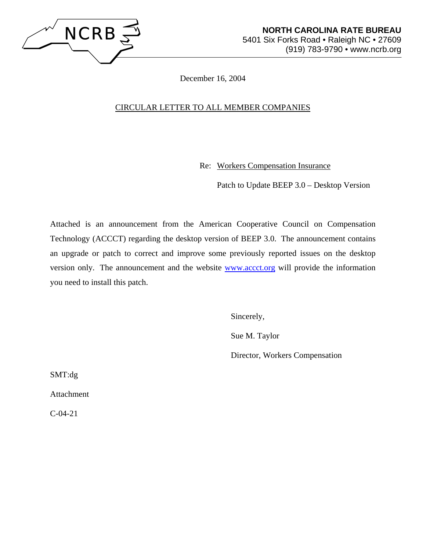

December 16, 2004

## CIRCULAR LETTER TO ALL MEMBER COMPANIES

Re: Workers Compensation Insurance

Patch to Update BEEP 3.0 – Desktop Version

Attached is an announcement from the American Cooperative Council on Compensation Technology (ACCCT) regarding the desktop version of BEEP 3.0. The announcement contains an upgrade or patch to correct and improve some previously reported issues on the desktop version only. The announcement and the website www.accct.org will provide the information you need to install this patch.

Sincerely,

Sue M. Taylor

Director, Workers Compensation

SMT:dg

Attachment

C-04-21